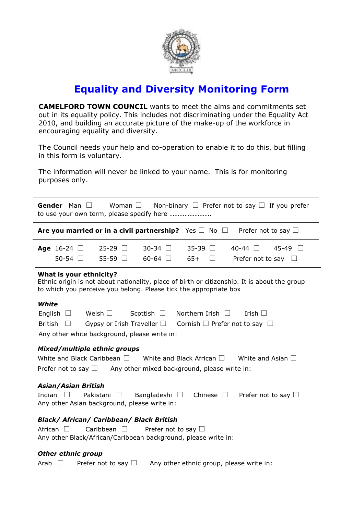

# **Equality and Diversity Monitoring Form**

**CAMELFORD TOWN COUNCIL** wants to meet the aims and commitments set out in its equality policy. This includes not discriminating under the Equality Act 2010, and building an accurate picture of the make-up of the workforce in encouraging equality and diversity.

The Council needs your help and co-operation to enable it to do this, but filling in this form is voluntary.

The information will never be linked to your name. This is for monitoring purposes only.

|                   | <b>Are you married or in a civil partnership?</b> Yes $\Box$ No $\Box$ Prefer not to say $\Box$ |  |  |  |
|-------------------|-------------------------------------------------------------------------------------------------|--|--|--|
|                   |                                                                                                 |  |  |  |
| Gender Man $\Box$ | Woman $\Box$ Non-binary $\Box$ Prefer not to say $\Box$ If you prefer                           |  |  |  |

|  | <b>Age</b> 16-24 $\Box$ 25-29 $\Box$ 30-34 $\Box$ 35-39 $\Box$ 40-44 $\Box$ 45-49 $\Box$ |  |  |
|--|------------------------------------------------------------------------------------------|--|--|
|  | $50-54$ $\Box$ $55-59$ $\Box$ $60-64$ $\Box$ $65+$ $\Box$ Prefer not to say $\Box$       |  |  |

### **What is your ethnicity?**

Ethnic origin is not about nationality, place of birth or citizenship. It is about the group to which you perceive you belong. Please tick the appropriate box

### *White*

|  |                                              | English $\Box$ Welsh $\Box$ Scottish $\Box$ Northern Irish $\Box$                      | Irish $\Box$ |
|--|----------------------------------------------|----------------------------------------------------------------------------------------|--------------|
|  |                                              | British $\Box$ Gypsy or Irish Traveller $\Box$ Cornish $\Box$ Prefer not to say $\Box$ |              |
|  | Any other white background, please write in: |                                                                                        |              |

### *Mixed/multiple ethnic groups*

| White and Black Caribbean $\square$ | White and Black African $\square$            | White and Asian $\square$ |
|-------------------------------------|----------------------------------------------|---------------------------|
| Prefer not to say $\square$         | Any other mixed background, please write in: |                           |

### *Asian/Asian British*

|  |  |                                              | Indian $\Box$ Pakistani $\Box$ Bangladeshi $\Box$ Chinese $\Box$ Prefer not to say $\Box$ |
|--|--|----------------------------------------------|-------------------------------------------------------------------------------------------|
|  |  | Any other Asian background, please write in: |                                                                                           |

## *Black/ African/ Caribbean/ Black British*

African  $\square$  Caribbean  $\square$  Prefer not to say  $\square$ Any other Black/African/Caribbean background, please write in:

### *Other ethnic group*

Arab  $\Box$  Prefer not to say  $\Box$  Any other ethnic group, please write in: